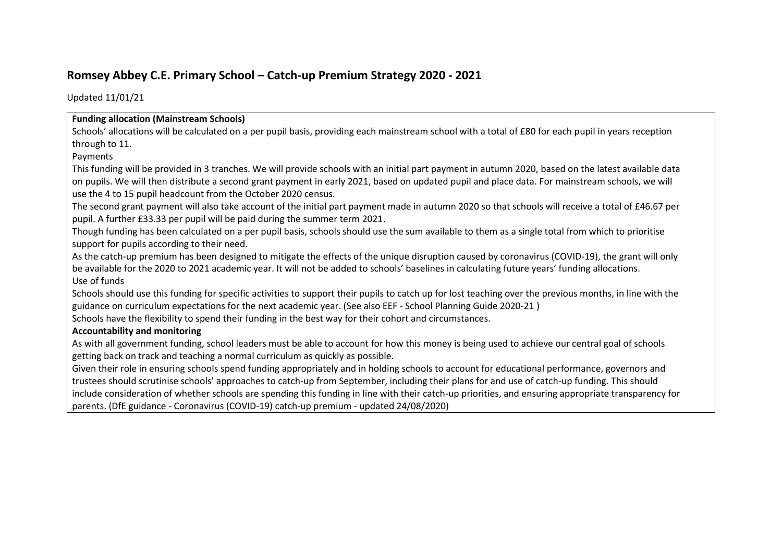# **Romsey Abbey C.E. Primary School – Catch-up Premium Strategy 2020 - 2021**

Updated 11/01/21

#### **Funding allocation (Mainstream Schools)**

Schools' allocations will be calculated on a per pupil basis, providing each mainstream school with a total of £80 for each pupil in years reception through to 11.

### Payments

This funding will be provided in 3 tranches. We will provide schools with an initial part payment in autumn 2020, based on the latest available data on pupils. We will then distribute a second grant payment in early 2021, based on updated pupil and place data. For mainstream schools, we will use the 4 to 15 pupil headcount from the October 2020 census.

The second grant payment will also take account of the initial part payment made in autumn 2020 so that schools will receive a total of £46.67 per pupil. A further £33.33 per pupil will be paid during the summer term 2021.

Though funding has been calculated on a per pupil basis, schools should use the sum available to them as a single total from which to prioritise support for pupils according to their need.

As the catch-up premium has been designed to mitigate the effects of the unique disruption caused by coronavirus (COVID-19), the grant will only be available for the 2020 to 2021 academic year. It will not be added to schools' baselines in calculating future years' funding allocations. Use of funds

Schools should use this funding for specific activities to support their pupils to catch up for lost teaching over the previous months, in line with the guidance on curriculum expectations for the next academic year. (See also EEF - School Planning Guide 2020-21 )

Schools have the flexibility to spend their funding in the best way for their cohort and circumstances.

## **Accountability and monitoring**

As with all government funding, school leaders must be able to account for how this money is being used to achieve our central goal of schools getting back on track and teaching a normal curriculum as quickly as possible.

Given their role in ensuring schools spend funding appropriately and in holding schools to account for educational performance, governors and trustees should scrutinise schools' approaches to catch-up from September, including their plans for and use of catch-up funding. This should include consideration of whether schools are spending this funding in line with their catch-up priorities, and ensuring appropriate transparency for parents. (DfE guidance - Coronavirus (COVID-19) catch-up premium - updated 24/08/2020)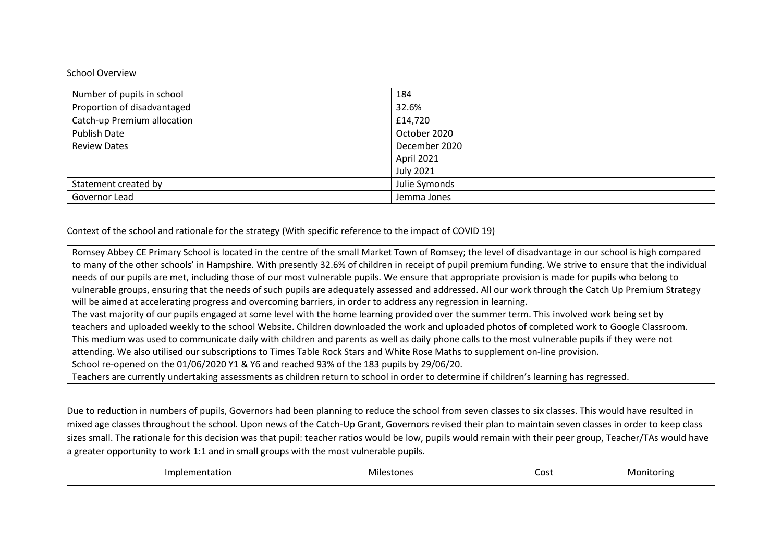#### School Overview

| Number of pupils in school  | 184              |  |
|-----------------------------|------------------|--|
| Proportion of disadvantaged | 32.6%            |  |
| Catch-up Premium allocation | £14,720          |  |
| <b>Publish Date</b>         | October 2020     |  |
| <b>Review Dates</b>         | December 2020    |  |
|                             | April 2021       |  |
|                             | <b>July 2021</b> |  |
| Statement created by        | Julie Symonds    |  |
| Governor Lead               | Jemma Jones      |  |

Context of the school and rationale for the strategy (With specific reference to the impact of COVID 19)

Romsey Abbey CE Primary School is located in the centre of the small Market Town of Romsey; the level of disadvantage in our school is high compared to many of the other schools' in Hampshire. With presently 32.6% of children in receipt of pupil premium funding. We strive to ensure that the individual needs of our pupils are met, including those of our most vulnerable pupils. We ensure that appropriate provision is made for pupils who belong to vulnerable groups, ensuring that the needs of such pupils are adequately assessed and addressed. All our work through the Catch Up Premium Strategy will be aimed at accelerating progress and overcoming barriers, in order to address any regression in learning. The vast majority of our pupils engaged at some level with the home learning provided over the summer term. This involved work being set by teachers and uploaded weekly to the school Website. Children downloaded the work and uploaded photos of completed work to Google Classroom. This medium was used to communicate daily with children and parents as well as daily phone calls to the most vulnerable pupils if they were not attending. We also utilised our subscriptions to Times Table Rock Stars and White Rose Maths to supplement on-line provision. School re-opened on the 01/06/2020 Y1 & Y6 and reached 93% of the 183 pupils by 29/06/20.

Teachers are currently undertaking assessments as children return to school in order to determine if children's learning has regressed.

Due to reduction in numbers of pupils, Governors had been planning to reduce the school from seven classes to six classes. This would have resulted in mixed age classes throughout the school. Upon news of the Catch-Up Grant, Governors revised their plan to maintain seven classes in order to keep class sizes small. The rationale for this decision was that pupil: teacher ratios would be low, pupils would remain with their peer group, Teacher/TAs would have a greater opportunity to work 1:1 and in small groups with the most vulnerable pupils.

| ישו. | .<br>- Miles<br>stones | Cost | nitoring<br>MC<br>. |
|------|------------------------|------|---------------------|
|------|------------------------|------|---------------------|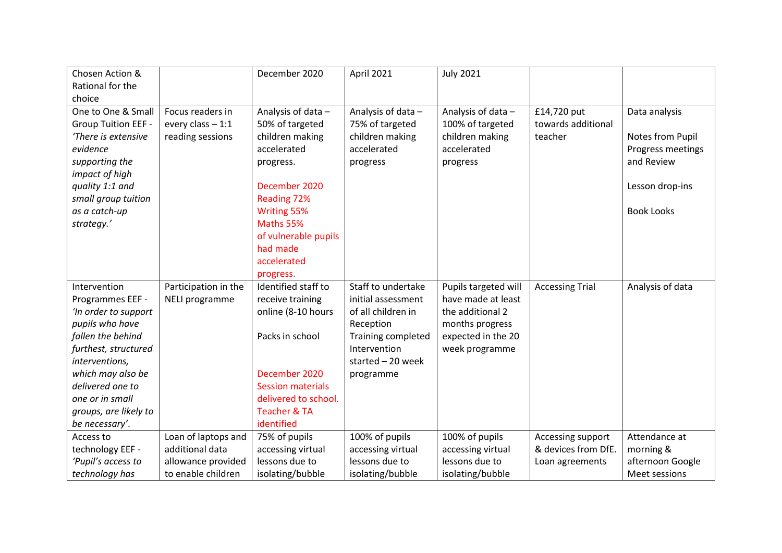| Chosen Action &            |                      | December 2020            | April 2021         | <b>July 2021</b>     |                        |                   |
|----------------------------|----------------------|--------------------------|--------------------|----------------------|------------------------|-------------------|
| Rational for the           |                      |                          |                    |                      |                        |                   |
| choice                     |                      |                          |                    |                      |                        |                   |
| One to One & Small         | Focus readers in     | Analysis of data -       | Analysis of data - | Analysis of data -   | £14,720 put            | Data analysis     |
| <b>Group Tuition EEF -</b> | every class $-1:1$   | 50% of targeted          | 75% of targeted    | 100% of targeted     | towards additional     |                   |
| 'There is extensive        | reading sessions     | children making          | children making    | children making      | teacher                | Notes from Pupil  |
| evidence                   |                      | accelerated              | accelerated        | accelerated          |                        | Progress meetings |
| supporting the             |                      | progress.                | progress           | progress             |                        | and Review        |
| impact of high             |                      |                          |                    |                      |                        |                   |
| quality 1:1 and            |                      | December 2020            |                    |                      |                        | Lesson drop-ins   |
| small group tuition        |                      | Reading 72%              |                    |                      |                        |                   |
| as a catch-up              |                      | Writing 55%              |                    |                      |                        | <b>Book Looks</b> |
| strategy.'                 |                      | Maths 55%                |                    |                      |                        |                   |
|                            |                      | of vulnerable pupils     |                    |                      |                        |                   |
|                            |                      | had made                 |                    |                      |                        |                   |
|                            |                      | accelerated              |                    |                      |                        |                   |
|                            |                      | progress.                |                    |                      |                        |                   |
| Intervention               | Participation in the | Identified staff to      | Staff to undertake | Pupils targeted will | <b>Accessing Trial</b> | Analysis of data  |
| Programmes EEF -           | NELI programme       | receive training         | initial assessment | have made at least   |                        |                   |
| 'In order to support       |                      | online (8-10 hours       | of all children in | the additional 2     |                        |                   |
| pupils who have            |                      |                          | Reception          | months progress      |                        |                   |
| fallen the behind          |                      | Packs in school          | Training completed | expected in the 20   |                        |                   |
| furthest, structured       |                      |                          | Intervention       | week programme       |                        |                   |
| interventions,             |                      |                          | started $-20$ week |                      |                        |                   |
| which may also be          |                      | December 2020            | programme          |                      |                        |                   |
| delivered one to           |                      | <b>Session materials</b> |                    |                      |                        |                   |
| one or in small            |                      | delivered to school.     |                    |                      |                        |                   |
| groups, are likely to      |                      | <b>Teacher &amp; TA</b>  |                    |                      |                        |                   |
| be necessary'.             |                      | identified               |                    |                      |                        |                   |
| Access to                  | Loan of laptops and  | 75% of pupils            | 100% of pupils     | 100% of pupils       | Accessing support      | Attendance at     |
| technology EEF -           | additional data      | accessing virtual        | accessing virtual  | accessing virtual    | & devices from DfE.    | morning &         |
| 'Pupil's access to         | allowance provided   | lessons due to           | lessons due to     | lessons due to       | Loan agreements        | afternoon Google  |
| technology has             | to enable children   | isolating/bubble         | isolating/bubble   | isolating/bubble     |                        | Meet sessions     |